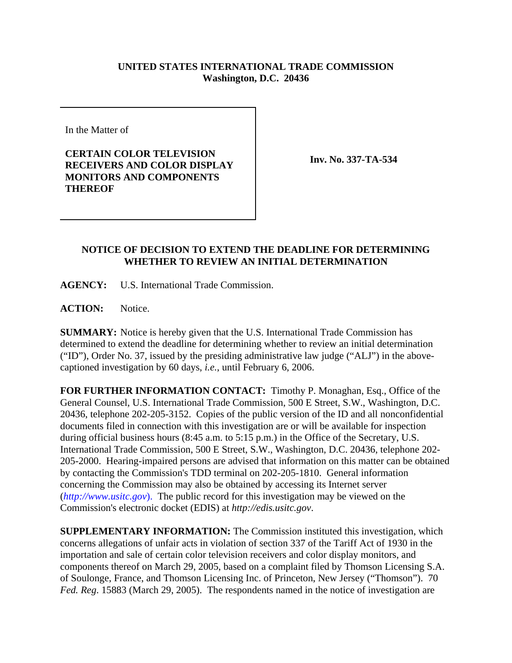## **UNITED STATES INTERNATIONAL TRADE COMMISSION Washington, D.C. 20436**

In the Matter of

**CERTAIN COLOR TELEVISION RECEIVERS AND COLOR DISPLAY MONITORS AND COMPONENTS THEREOF**

**Inv. No. 337-TA-534**

## **NOTICE OF DECISION TO EXTEND THE DEADLINE FOR DETERMINING WHETHER TO REVIEW AN INITIAL DETERMINATION**

**AGENCY:** U.S. International Trade Commission.

**ACTION:** Notice.

**SUMMARY:** Notice is hereby given that the U.S. International Trade Commission has determined to extend the deadline for determining whether to review an initial determination ("ID"), Order No. 37, issued by the presiding administrative law judge ("ALJ") in the abovecaptioned investigation by 60 days, *i.e.*, until February 6, 2006.

**FOR FURTHER INFORMATION CONTACT:** Timothy P. Monaghan, Esq., Office of the General Counsel, U.S. International Trade Commission, 500 E Street, S.W., Washington, D.C. 20436, telephone 202-205-3152. Copies of the public version of the ID and all nonconfidential documents filed in connection with this investigation are or will be available for inspection during official business hours (8:45 a.m. to 5:15 p.m.) in the Office of the Secretary, U.S. International Trade Commission, 500 E Street, S.W., Washington, D.C. 20436, telephone 202- 205-2000. Hearing-impaired persons are advised that information on this matter can be obtained by contacting the Commission's TDD terminal on 202-205-1810. General information concerning the Commission may also be obtained by accessing its Internet server (*http://www.usitc.gov*). The public record for this investigation may be viewed on the Commission's electronic docket (EDIS) at *http://edis.usitc.gov*.

**SUPPLEMENTARY INFORMATION:** The Commission instituted this investigation, which concerns allegations of unfair acts in violation of section 337 of the Tariff Act of 1930 in the importation and sale of certain color television receivers and color display monitors, and components thereof on March 29, 2005, based on a complaint filed by Thomson Licensing S.A. of Soulonge, France, and Thomson Licensing Inc. of Princeton, New Jersey ("Thomson"). 70 *Fed. Reg*. 15883 (March 29, 2005). The respondents named in the notice of investigation are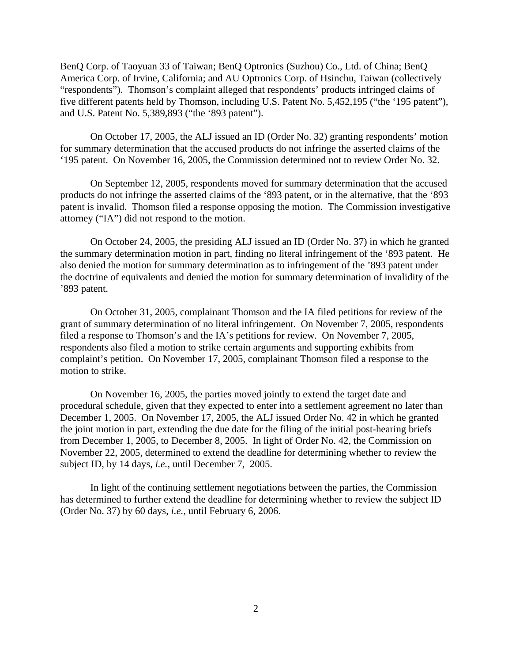BenQ Corp. of Taoyuan 33 of Taiwan; BenQ Optronics (Suzhou) Co., Ltd. of China; BenQ America Corp. of Irvine, California; and AU Optronics Corp. of Hsinchu, Taiwan (collectively "respondents"). Thomson's complaint alleged that respondents' products infringed claims of five different patents held by Thomson, including U.S. Patent No. 5,452,195 ("the '195 patent"), and U.S. Patent No. 5,389,893 ("the '893 patent").

On October 17, 2005, the ALJ issued an ID (Order No. 32) granting respondents' motion for summary determination that the accused products do not infringe the asserted claims of the '195 patent. On November 16, 2005, the Commission determined not to review Order No. 32.

On September 12, 2005, respondents moved for summary determination that the accused products do not infringe the asserted claims of the '893 patent, or in the alternative, that the '893 patent is invalid. Thomson filed a response opposing the motion. The Commission investigative attorney ("IA") did not respond to the motion.

On October 24, 2005, the presiding ALJ issued an ID (Order No. 37) in which he granted the summary determination motion in part, finding no literal infringement of the '893 patent. He also denied the motion for summary determination as to infringement of the '893 patent under the doctrine of equivalents and denied the motion for summary determination of invalidity of the '893 patent.

On October 31, 2005, complainant Thomson and the IA filed petitions for review of the grant of summary determination of no literal infringement. On November 7, 2005, respondents filed a response to Thomson's and the IA's petitions for review. On November 7, 2005, respondents also filed a motion to strike certain arguments and supporting exhibits from complaint's petition. On November 17, 2005, complainant Thomson filed a response to the motion to strike.

On November 16, 2005, the parties moved jointly to extend the target date and procedural schedule, given that they expected to enter into a settlement agreement no later than December 1, 2005. On November 17, 2005, the ALJ issued Order No. 42 in which he granted the joint motion in part, extending the due date for the filing of the initial post-hearing briefs from December 1, 2005, to December 8, 2005. In light of Order No. 42, the Commission on November 22, 2005, determined to extend the deadline for determining whether to review the subject ID, by 14 days, *i.e.*, until December 7, 2005.

In light of the continuing settlement negotiations between the parties, the Commission has determined to further extend the deadline for determining whether to review the subject ID (Order No. 37) by 60 days, *i.e.*, until February 6, 2006.